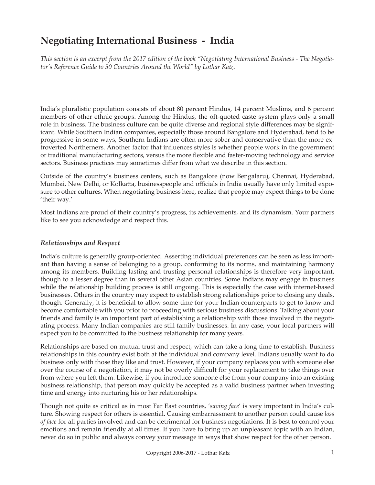# **Negotiating International Business - India**

*This section is an excerpt from the 2017 edition of the book "Negotiating International Business - The Negotiator's Reference Guide to 50 Countries Around the World" by Lothar Katz.*

India's pluralistic population consists of about 80 percent Hindus, 14 percent Muslims, and 6 percent members of other ethnic groups. Among the Hindus, the oft-quoted caste system plays only a small role in business. The business culture can be quite diverse and regional style differences may be significant. While Southern Indian companies, especially those around Bangalore and Hyderabad, tend to be progressive in some ways, Southern Indians are often more sober and conservative than the more extroverted Northerners. Another factor that influences styles is whether people work in the government or traditional manufacturing sectors, versus the more flexible and faster-moving technology and service sectors. Business practices may sometimes differ from what we describe in this section.

Outside of the country's business centers, such as Bangalore (now Bengalaru), Chennai, Hyderabad, Mumbai, New Delhi, or Kolkatta, businesspeople and officials in India usually have only limited exposure to other cultures. When negotiating business here, realize that people may expect things to be done 'their way.'

Most Indians are proud of their country's progress, its achievements, and its dynamism. Your partners like to see you acknowledge and respect this.

# *Relationships and Respect*

India's culture is generally group-oriented. Asserting individual preferences can be seen as less important than having a sense of belonging to a group, conforming to its norms, and maintaining harmony among its members. Building lasting and trusting personal relationships is therefore very important, though to a lesser degree than in several other Asian countries. Some Indians may engage in business while the relationship building process is still ongoing. This is especially the case with internet-based businesses. Others in the country may expect to establish strong relationships prior to closing any deals, though. Generally, it is beneficial to allow some time for your Indian counterparts to get to know and become comfortable with you prior to proceeding with serious business discussions. Talking about your friends and family is an important part of establishing a relationship with those involved in the negotiating process. Many Indian companies are still family businesses. In any case, your local partners will expect you to be committed to the business relationship for many years.

Relationships are based on mutual trust and respect, which can take a long time to establish. Business relationships in this country exist both at the individual and company level. Indians usually want to do business only with those they like and trust. However, if your company replaces you with someone else over the course of a negotiation, it may not be overly difficult for your replacement to take things over from where you left them. Likewise, if you introduce someone else from your company into an existing business relationship, that person may quickly be accepted as a valid business partner when investing time and energy into nurturing his or her relationships.

Though not quite as critical as in most Far East countries, '*saving face*' is very important in India's culture. Showing respect for others is essential. Causing embarrassment to another person could cause *loss of face* for all parties involved and can be detrimental for business negotiations. It is best to control your emotions and remain friendly at all times. If you have to bring up an unpleasant topic with an Indian, never do so in public and always convey your message in ways that show respect for the other person.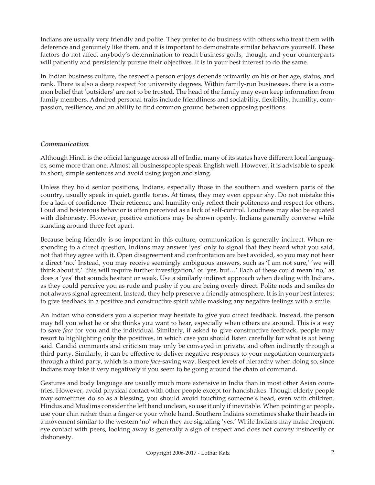Indians are usually very friendly and polite. They prefer to do business with others who treat them with deference and genuinely like them, and it is important to demonstrate similar behaviors yourself. These factors do not affect anybody's determination to reach business goals, though, and your counterparts will patiently and persistently pursue their objectives. It is in your best interest to do the same.

In Indian business culture, the respect a person enjoys depends primarily on his or her age, status, and rank. There is also a deep respect for university degrees. Within family-run businesses, there is a common belief that 'outsiders' are not to be trusted. The head of the family may even keep information from family members. Admired personal traits include friendliness and sociability, flexibility, humility, compassion, resilience, and an ability to find common ground between opposing positions.

### *Communication*

Although Hindi is the official language across all of India, many of its states have different local languages, some more than one. Almost all businesspeople speak English well. However, it is advisable to speak in short, simple sentences and avoid using jargon and slang.

Unless they hold senior positions, Indians, especially those in the southern and western parts of the country, usually speak in quiet, gentle tones. At times, they may even appear shy. Do not mistake this for a lack of confidence. Their reticence and humility only reflect their politeness and respect for others. Loud and boisterous behavior is often perceived as a lack of self-control. Loudness may also be equated with dishonesty. However, positive emotions may be shown openly. Indians generally converse while standing around three feet apart.

Because being friendly is so important in this culture, communication is generally indirect. When responding to a direct question, Indians may answer 'yes' only to signal that they heard what you said, not that they agree with it. Open disagreement and confrontation are best avoided, so you may not hear a direct 'no.' Instead, you may receive seemingly ambiguous answers, such as 'I am not sure,' 'we will think about it,' 'this will require further investigation,' or 'yes, but…' Each of these could mean 'no,' as does a 'yes' that sounds hesitant or weak. Use a similarly indirect approach when dealing with Indians, as they could perceive you as rude and pushy if you are being overly direct. Polite nods and smiles do not always signal agreement. Instead, they help preserve a friendly atmosphere. It is in your best interest to give feedback in a positive and constructive spirit while masking any negative feelings with a smile.

An Indian who considers you a superior may hesitate to give you direct feedback. Instead, the person may tell you what he or she thinks you want to hear, especially when others are around. This is a way to save *face* for you and the individual. Similarly, if asked to give constructive feedback, people may resort to highlighting only the positives, in which case you should listen carefully for what is *not* being said. Candid comments and criticism may only be conveyed in private, and often indirectly through a third party. Similarly, it can be effective to deliver negative responses to your negotiation counterparts through a third party, which is a more *face*-saving way. Respect levels of hierarchy when doing so, since Indians may take it very negatively if you seem to be going around the chain of command.

Gestures and body language are usually much more extensive in India than in most other Asian countries. However, avoid physical contact with other people except for handshakes. Though elderly people may sometimes do so as a blessing, you should avoid touching someone's head, even with children. Hindus and Muslims consider the left hand unclean, so use it only if inevitable. When pointing at people, use your chin rather than a finger or your whole hand. Southern Indians sometimes shake their heads in a movement similar to the western 'no' when they are signaling 'yes.' While Indians may make frequent eye contact with peers, looking away is generally a sign of respect and does not convey insincerity or dishonesty.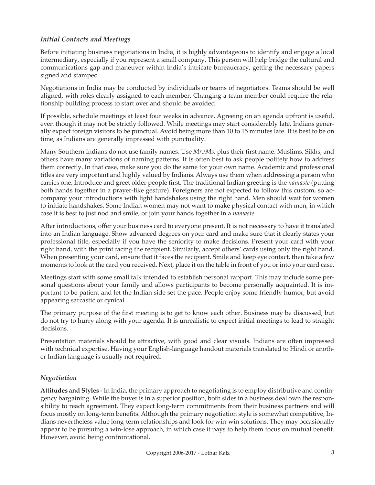# *Initial Contacts and Meetings*

Before initiating business negotiations in India, it is highly advantageous to identify and engage a local intermediary, especially if you represent a small company. This person will help bridge the cultural and communications gap and maneuver within India's intricate bureaucracy, getting the necessary papers signed and stamped.

Negotiations in India may be conducted by individuals or teams of negotiators. Teams should be well aligned, with roles clearly assigned to each member. Changing a team member could require the relationship building process to start over and should be avoided.

If possible, schedule meetings at least four weeks in advance. Agreeing on an agenda upfront is useful, even though it may not be strictly followed. While meetings may start considerably late, Indians generally expect foreign visitors to be punctual. Avoid being more than 10 to 15 minutes late. It is best to be on time, as Indians are generally impressed with punctuality.

Many Southern Indians do not use family names. Use *Mr./Ms.* plus their first name. Muslims, Sikhs, and others have many variations of naming patterns. It is often best to ask people politely how to address them correctly. In that case, make sure you do the same for your own name. Academic and professional titles are very important and highly valued by Indians. Always use them when addressing a person who carries one. Introduce and greet older people first. The traditional Indian greeting is the *namaste* (putting both hands together in a prayer-like gesture). Foreigners are not expected to follow this custom, so accompany your introductions with light handshakes using the right hand. Men should wait for women to initiate handshakes. Some Indian women may not want to make physical contact with men, in which case it is best to just nod and smile, or join your hands together in a *namaste*.

After introductions, offer your business card to everyone present. It is not necessary to have it translated into an Indian language. Show advanced degrees on your card and make sure that it clearly states your professional title, especially if you have the seniority to make decisions. Present your card with your right hand, with the print facing the recipient. Similarly, accept others' cards using only the right hand. When presenting your card, ensure that it faces the recipient. Smile and keep eye contact, then take a few moments to look at the card you received. Next, place it on the table in front of you or into your card case.

Meetings start with some small talk intended to establish personal rapport. This may include some personal questions about your family and allows participants to become personally acquainted. It is important to be patient and let the Indian side set the pace. People enjoy some friendly humor, but avoid appearing sarcastic or cynical.

The primary purpose of the first meeting is to get to know each other. Business may be discussed, but do not try to hurry along with your agenda. It is unrealistic to expect initial meetings to lead to straight decisions.

Presentation materials should be attractive, with good and clear visuals. Indians are often impressed with technical expertise. Having your English-language handout materials translated to Hindi or another Indian language is usually not required.

# *Negotiation*

**Attitudes and Styles -** In India, the primary approach to negotiating is to employ distributive and contingency bargaining. While the buyer is in a superior position, both sides in a business deal own the responsibility to reach agreement. They expect long-term commitments from their business partners and will focus mostly on long-term benefits. Although the primary negotiation style is somewhat competitive, Indians nevertheless value long-term relationships and look for win-win solutions. They may occasionally appear to be pursuing a win-lose approach, in which case it pays to help them focus on mutual benefit. However, avoid being confrontational.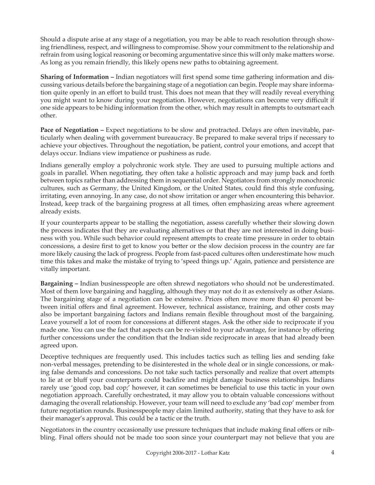Should a dispute arise at any stage of a negotiation, you may be able to reach resolution through showing friendliness, respect, and willingness to compromise. Show your commitment to the relationship and refrain from using logical reasoning or becoming argumentative since this will only make matters worse. As long as you remain friendly, this likely opens new paths to obtaining agreement.

**Sharing of Information –** Indian negotiators will first spend some time gathering information and discussing various details before the bargaining stage of a negotiation can begin. People may share information quite openly in an effort to build trust. This does not mean that they will readily reveal everything you might want to know during your negotiation. However, negotiations can become very difficult if one side appears to be hiding information from the other, which may result in attempts to outsmart each other.

**Pace of Negotiation –** Expect negotiations to be slow and protracted. Delays are often inevitable, particularly when dealing with government bureaucracy. Be prepared to make several trips if necessary to achieve your objectives. Throughout the negotiation, be patient, control your emotions, and accept that delays occur. Indians view impatience or pushiness as rude.

Indians generally employ a polychronic work style. They are used to pursuing multiple actions and goals in parallel. When negotiating, they often take a holistic approach and may jump back and forth between topics rather than addressing them in sequential order. Negotiators from strongly monochronic cultures, such as Germany, the United Kingdom, or the United States, could find this style confusing, irritating, even annoying. In any case, do not show irritation or anger when encountering this behavior. Instead, keep track of the bargaining progress at all times, often emphasizing areas where agreement already exists.

If your counterparts appear to be stalling the negotiation, assess carefully whether their slowing down the process indicates that they are evaluating alternatives or that they are not interested in doing business with you. While such behavior could represent attempts to create time pressure in order to obtain concessions, a desire first to get to know you better or the slow decision process in the country are far more likely causing the lack of progress. People from fast-paced cultures often underestimate how much time this takes and make the mistake of trying to 'speed things up.' Again, patience and persistence are vitally important.

**Bargaining –** Indian businesspeople are often shrewd negotiators who should not be underestimated. Most of them love bargaining and haggling, although they may not do it as extensively as other Asians. The bargaining stage of a negotiation can be extensive. Prices often move more than 40 percent between initial offers and final agreement. However, technical assistance, training, and other costs may also be important bargaining factors and Indians remain flexible throughout most of the bargaining. Leave yourself a lot of room for concessions at different stages. Ask the other side to reciprocate if you made one. You can use the fact that aspects can be re-visited to your advantage, for instance by offering further concessions under the condition that the Indian side reciprocate in areas that had already been agreed upon.

Deceptive techniques are frequently used. This includes tactics such as telling lies and sending fake non-verbal messages, pretending to be disinterested in the whole deal or in single concessions, or making false demands and concessions. Do not take such tactics personally and realize that overt attempts to lie at or bluff your counterparts could backfire and might damage business relationships. Indians rarely use 'good cop, bad cop;' however, it can sometimes be beneficial to use this tactic in your own negotiation approach. Carefully orchestrated, it may allow you to obtain valuable concessions without damaging the overall relationship. However, your team will need to exclude any 'bad cop' member from future negotiation rounds. Businesspeople may claim limited authority, stating that they have to ask for their manager's approval. This could be a tactic or the truth.

Negotiators in the country occasionally use pressure techniques that include making final offers or nibbling. Final offers should not be made too soon since your counterpart may not believe that you are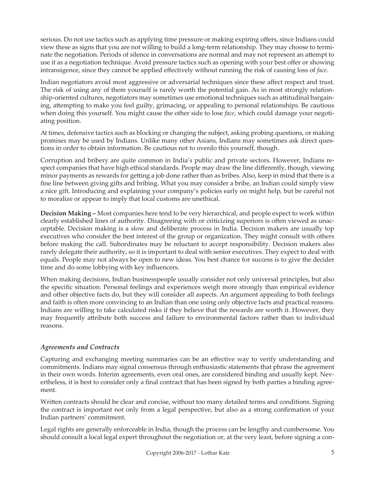serious. Do not use tactics such as applying time pressure or making expiring offers, since Indians could view these as signs that you are not willing to build a long-term relationship. They may choose to terminate the negotiation. Periods of silence in conversations are normal and may not represent an attempt to use it as a negotiation technique. Avoid pressure tactics such as opening with your best offer or showing intransigence, since they cannot be applied effectively without running the risk of causing loss of *face*.

Indian negotiators avoid most aggressive or adversarial techniques since these affect respect and trust. The risk of using any of them yourself is rarely worth the potential gain. As in most strongly relationship-oriented cultures, negotiators may sometimes use emotional techniques such as attitudinal bargaining, attempting to make you feel guilty, grimacing, or appealing to personal relationships. Be cautious when doing this yourself. You might cause the other side to lose *face*, which could damage your negotiating position.

At times, defensive tactics such as blocking or changing the subject, asking probing questions, or making promises may be used by Indians. Unlike many other Asians, Indians may sometimes ask direct questions in order to obtain information. Be cautious not to overdo this yourself, though.

Corruption and bribery are quite common in India's public and private sectors. However, Indians respect companies that have high ethical standards. People may draw the line differently, though, viewing minor payments as rewards for getting a job done rather than as bribes. Also, keep in mind that there is a fine line between giving gifts and bribing. What you may consider a bribe, an Indian could simply view a nice gift. Introducing and explaining your company's policies early on might help, but be careful not to moralize or appear to imply that local customs are unethical.

**Decision Making –** Most companies here tend to be very hierarchical, and people expect to work within clearly established lines of authority. Disagreeing with or criticizing superiors is often viewed as unacceptable. Decision making is a slow and deliberate process in India. Decision makers are usually top executives who consider the best interest of the group or organization. They might consult with others before making the call. Subordinates may be reluctant to accept responsibility. Decision makers also rarely delegate their authority, so it is important to deal with senior executives. They expect to deal with equals. People may not always be open to new ideas. You best chance for success is to give the decider time and do some lobbying with key influencers.

When making decisions, Indian businesspeople usually consider not only universal principles, but also the specific situation. Personal feelings and experiences weigh more strongly than empirical evidence and other objective facts do, but they will consider all aspects. An argument appealing to both feelings and faith is often more convincing to an Indian than one using only objective facts and practical reasons. Indians are willing to take calculated risks if they believe that the rewards are worth it. However, they may frequently attribute both success and failure to environmental factors rather than to individual reasons.

# *Agreements and Contracts*

Capturing and exchanging meeting summaries can be an effective way to verify understanding and commitments. Indians may signal consensus through enthusiastic statements that phrase the agreement in their own words. Interim agreements, even oral ones, are considered binding and usually kept. Nevertheless, it is best to consider only a final contract that has been signed by both parties a binding agreement.

Written contracts should be clear and concise, without too many detailed terms and conditions. Signing the contract is important not only from a legal perspective, but also as a strong confirmation of your Indian partners' commitment.

Legal rights are generally enforceable in India, though the process can be lengthy and cumbersome. You should consult a local legal expert throughout the negotiation or, at the very least, before signing a con-